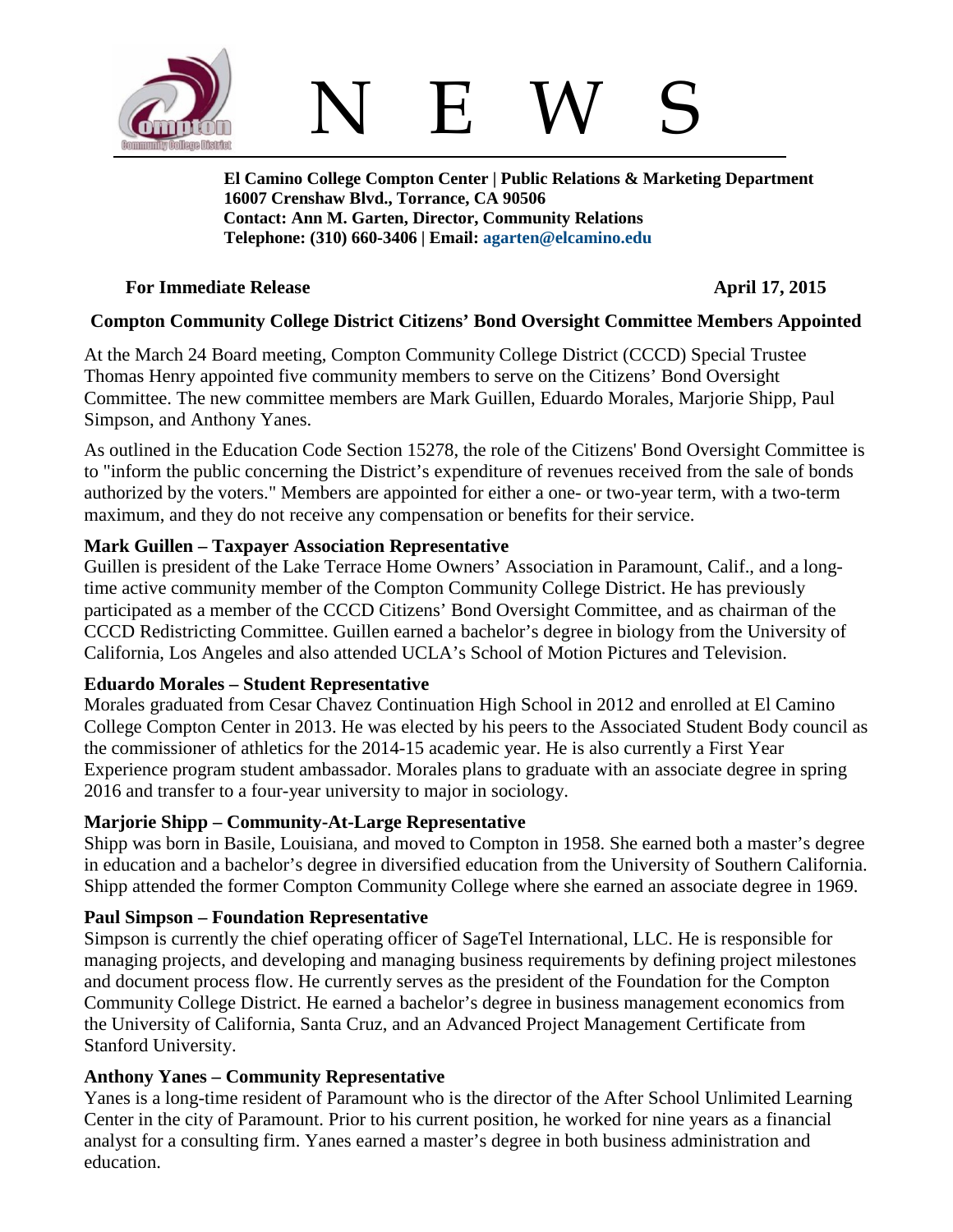

N E W S

**El Camino College Compton Center | Public Relations & Marketing Department 16007 Crenshaw Blvd., Torrance, CA 90506 Contact: Ann M. Garten, Director, Community Relations Telephone: (310) 660-3406 | Email: [agarten@elcamino.edu](mailto:agarten@elcamino.edu)** 

## **For Immediate Release April 17, 2015**

# **Compton Community College District Citizens' Bond Oversight Committee Members Appointed**

At the March 24 Board meeting, Compton Community College District (CCCD) Special Trustee Thomas Henry appointed five community members to serve on the Citizens' Bond Oversight Committee. The new committee members are Mark Guillen, Eduardo Morales, Marjorie Shipp, Paul Simpson, and Anthony Yanes.

As outlined in the Education Code Section 15278, the role of the Citizens' Bond Oversight Committee is to "inform the public concerning the District's expenditure of revenues received from the sale of bonds authorized by the voters." Members are appointed for either a one- or two-year term, with a two-term maximum, and they do not receive any compensation or benefits for their service.

## **Mark Guillen – Taxpayer Association Representative**

Guillen is president of the Lake Terrace Home Owners' Association in Paramount, Calif., and a longtime active community member of the Compton Community College District. He has previously participated as a member of the CCCD Citizens' Bond Oversight Committee, and as chairman of the CCCD Redistricting Committee. Guillen earned a bachelor's degree in biology from the University of California, Los Angeles and also attended UCLA's School of Motion Pictures and Television.

## **Eduardo Morales – Student Representative**

Morales graduated from Cesar Chavez Continuation High School in 2012 and enrolled at El Camino College Compton Center in 2013. He was elected by his peers to the Associated Student Body council as the commissioner of athletics for the 2014-15 academic year. He is also currently a First Year Experience program student ambassador. Morales plans to graduate with an associate degree in spring 2016 and transfer to a four-year university to major in sociology.

## **Marjorie Shipp – Community-At-Large Representative**

Shipp was born in Basile, Louisiana, and moved to Compton in 1958. She earned both a master's degree in education and a bachelor's degree in diversified education from the University of Southern California. Shipp attended the former Compton Community College where she earned an associate degree in 1969.

# **Paul Simpson – Foundation Representative**

Simpson is currently the chief operating officer of SageTel International, LLC. He is responsible for managing projects, and developing and managing business requirements by defining project milestones and document process flow. He currently serves as the president of the Foundation for the Compton Community College District. He earned a bachelor's degree in business management economics from the University of California, Santa Cruz, and an Advanced Project Management Certificate from Stanford University.

## **Anthony Yanes – Community Representative**

Yanes is a long-time resident of Paramount who is the director of the After School Unlimited Learning Center in the city of Paramount. Prior to his current position, he worked for nine years as a financial analyst for a consulting firm. Yanes earned a master's degree in both business administration and education.